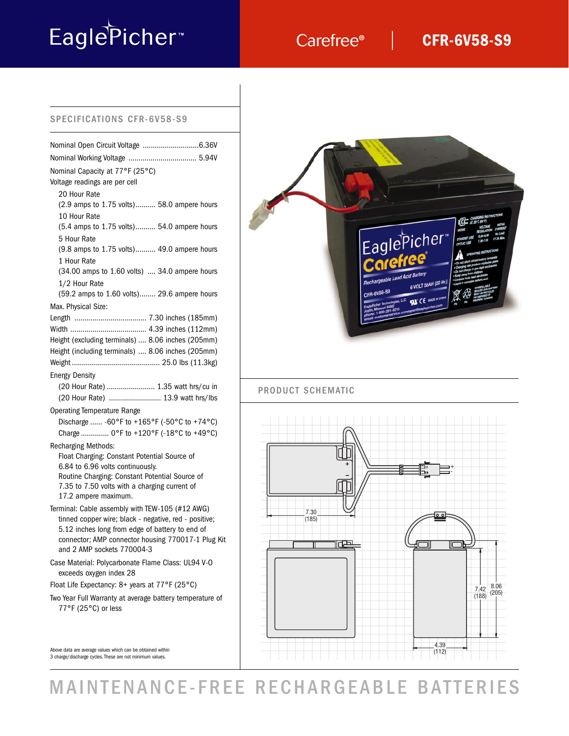# EaglePicher<sup>®</sup>

## Carefree®

## **CFR-6V58-S9**

#### SPECIFICATIONS CFR-6V58-S9

| Nominal Capacity at 77°F (25°C)<br>Voltage readings are per cell<br>20 Hour Rate |  |
|----------------------------------------------------------------------------------|--|
| (2.9 amps to 1.75 volts) 58.0 ampere hours<br>10 Hour Rate                       |  |
| (5.4 amps to 1.75 volts) 54.0 ampere hours<br>5 Hour Rate                        |  |
| (9.8 amps to 1.75 volts) 49.0 ampere hours<br>1 Hour Rate                        |  |
| (34.00 amps to 1.60 volts)  34.0 ampere hours<br>1/2 Hour Rate                   |  |
| (59.2 amps to 1.60 volts) 29.6 ampere hours                                      |  |
| Max. Physical Size:                                                              |  |
|                                                                                  |  |
|                                                                                  |  |
| Height (excluding terminals)  8.06 inches (205mm)                                |  |
| Height (including terminals)  8.06 inches (205mm)                                |  |
|                                                                                  |  |
| <b>Energy Density</b>                                                            |  |
| (20 Hour Rate)  1.35 watt hrs/cu in                                              |  |
| (20 Hour Rate)  13.9 watt hrs/lbs                                                |  |
| <b>Operating Temperature Range</b>                                               |  |
| Discharge  -60°F to +165°F (-50°C to +74°C)                                      |  |
| Charge  0°F to +120°F (-18°C to +49°C)                                           |  |
|                                                                                  |  |
| <b>Recharging Methods:</b><br>Float Charging: Constant Potential Source of       |  |
| 6.84 to 6.96 volts continuously.                                                 |  |
| Routine Charging: Constant Potential Source of                                   |  |
| 7.35 to 7.50 volts with a charging current of                                    |  |
| 17.2 ampere maximum.                                                             |  |
| Terminal: Cable assembly with TEW-105 (#12 AWG)                                  |  |
| tinned copper wire; black - negative, red - positive;                            |  |
| 5.12 inches long from edge of battery to end of                                  |  |
| connector; AMP connector housing 770017-1 Plug Kit                               |  |
| and 2 AMP sockets 770004-3                                                       |  |
| Case Material: Polycarbonate Flame Class: UL94 V-O<br>exceeds oxygen index 28    |  |
| Float Life Expectancy: 8+ years at 77°F (25°C)                                   |  |
| Two Year Full Warranty at average battery temperature of                         |  |
| 77°F (25°C) or less                                                              |  |
|                                                                                  |  |
|                                                                                  |  |

Above data are average values which can be obtained within 3 charge/discharge cycles. These are not minimum values.



## MAINTENANCE-FREE RECHARGEABLE BATTERIES